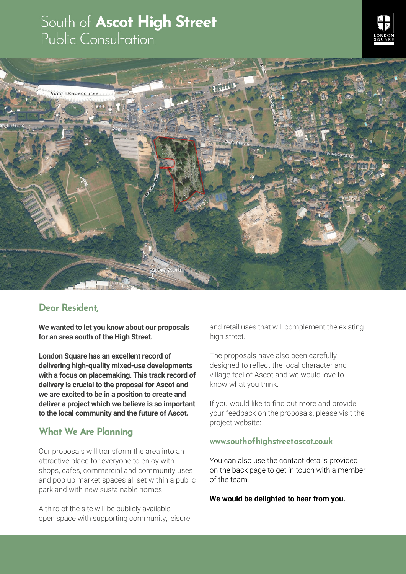# South of Ascot High Street<br>Public Consultation





## Dear Resident,

**We wanted to let you know about our proposals for an area south of the High Street.** 

**London Square has an excellent record of delivering high-quality mixed-use developments with a focus on placemaking. This track record of delivery is crucial to the proposal for Ascot and we are excited to be in a position to create and deliver a project which we believe is so important to the local community and the future of Ascot.**

# What We Are Planning

Our proposals will transform the area into an attractive place for everyone to enjoy with shops, cafes, commercial and community uses and pop up market spaces all set within a public parkland with new sustainable homes.

A third of the site will be publicly available open space with supporting community, leisure and retail uses that will complement the existing high street.

The proposals have also been carefully designed to reflect the local character and village feel of Ascot and we would love to know what you think.

If you would like to find out more and provide your feedback on the proposals, please visit the project website:

#### www.southofhighstreetascot.co.uk

You can also use the contact details provided on the back page to get in touch with a member of the team.

**We would be delighted to hear from you.**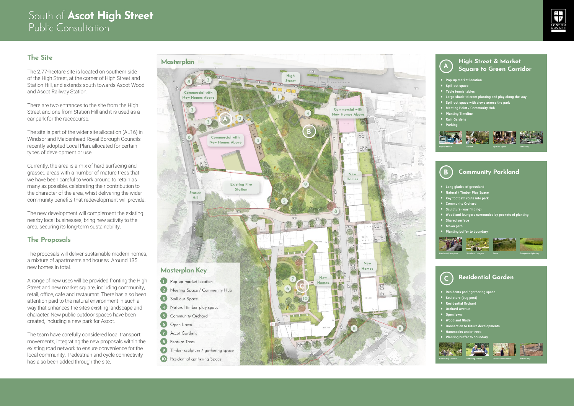# South of Ascot High Street Public Consultation

# The Site

The 2.77-hectare site is located on southern side of the High Street, at the corner of High Street and Station Hill, and extends south towards Ascot Wood and Ascot Railway Station.

There are two entrances to the site from the High Street and one from Station Hill and it is used as a car park for the racecourse.

The site is part of the wider site allocation (AL16) in Windsor and Maidenhead Royal Borough Councils recently adopted Local Plan, allocated for certain types of development or use.

Currently, the area is a mix of hard surfacing and grassed areas with a number of mature trees that we have been careful to work around to retain as many as possible, celebrating their contribution to the character of the area, whist delivering the wider community benefits that redevelopment will provide.

The new development will complement the existing nearby local businesses, bring new activity to the area, securing its long-term sustainability.

# The Proposals

The proposals will deliver sustainable modern homes, a mixture of apartments and houses. Around 135 new homes in total.

Community Parkland • Long glades of grassland<br>• Natural / Timber Play Space<br>• Key footpath route into park<br>• Community Orchard<br>• Sculpture (way finding)<br>• Woodland loungers surrounded by pockets of planting<br>• Shared surface<br>• Mown path<br>• Pla **Example 12**<br> **Band Square to Green Corridor**<br>
Spill out space<br>
• Table tennis tables<br>
• Large shade tolerant planting and play along the way<br>
• Metting Point / Community Hub<br>
• Meting Timeline<br>
• Rain Gradens<br>
• Rain Grad









A range of new uses will be provided fronting the High Street and new market square, including community, retail, office, cafe and restaurant. There has also been attention paid to the natural environment in such a way that enhances the sites existing landscape and character. New public outdoor spaces have been created, including a new park for Ascot.

The team have carefully considered local transport movements, integrating the new proposals within the existing road network to ensure convenience for the local community. Pedestrian and cycle connectivity has also been added through the site.

#### High Street & Market Square to Green Corridor

- 
- 
- 
- Pop-up market location<br>• Spill out space<br>• Table tennis tables<br>• Large shade tolerant planting and play along the way<br>• Spill out space with views across the park<br>• Meeting Point / Community Hub<br>• Planting Timeline<br>• Rai
- 
- 
- 
- 
- 









#### Residential Garden

- 
- 
- 
- 
- 
- 
- Residents pod / gathering space<br>• Sculpture (bug post)<br>• Residential Orchard<br>• Orchard Avenue<br>• Open lawn<br>• Woodland Glade<br>• Connection to future developments<br>• Hammocks under trees<br>• Plantina buffer to boundary
- 
-